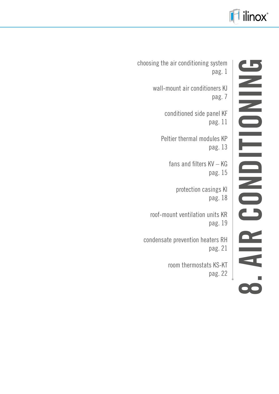

# **8. AIR CONDITIONING ONING** E ONDIS AIR

choosing the air conditioning system pag. 1

> wall-mount air conditioners KJ pag. 7

> > conditioned side panel KF pag. 11

Peltier thermal modules KP pag. 13

> fans and filters KV – KG pag. 15

> > protection casings Kl pag. 18

roof-mount ventilation units KR pag. 19

condensate prevention heaters RH pag. 21

> room thermostats KS-KT pag. 22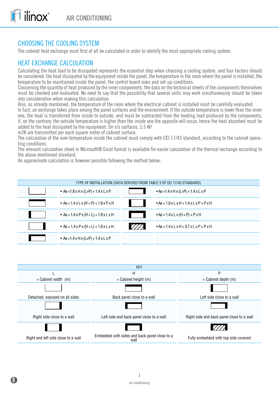#### CHOOSING THE COOLING SYSTEM

The cabinet heat exchange must first of all be calculated in order to identify the most appropriate cooling system.

#### HEAT EXCHANGE CALCULATION

Calculating the heat load to be dissipated represents the essential step when choosing a cooling system, and four factors should be considered: the heat dissipated by the equipment inside the panel, the temperature in the room where the panel is installed, the temperature to be maintained inside the panel, the control board sizes and set-up conditions.

Concerning the quantity of heat produced by the inner components, the data on the technical sheets of the components themselves must be checked and evaluated. No need to say that the possibility that several units may work simultaneously should be taken into consideration when making this calculation.

Also, as already mentioned, the temperature of the room where the electrical cabinet is installed must be carefully evaluated.

In fact, an exchange takes place among the panel surfaces and the environment. If the outside temperature is lower than the inner one, the heat is transferred from inside to outside, and must be subtracted from the heating load produced by the components; if, on the contrary, the outside temperature is higher than the inside one the opposite will occur, hence the heat absorbed must be added to the heat dissipated by the equipment. On s/s surfaces, 5.5 W/

m2K are transmitted per each square meter of cabinet surface.

The calculation of the over-temperature inside the cabinet must comply with CEI 17/43 standard, according to the cabinet operating conditions.

The relevant calculation sheet in Microsoft® Excel format is available for easier calculation of the thermal exchange according to the above mentioned standard.

An approximate calculation is however possible following the method below:

|                                                              | TYPE OF INSTALLATION (DATA DERIVED FROM TABLE 3 OF CEI 17/43 STANDARD) |
|--------------------------------------------------------------|------------------------------------------------------------------------|
| • Ae = $1.8 \times H \times (L+P) + 1.4 \times L \times P$   | • Ae = $1.4 \times H \times (L+P) + 1.4 \times L \times P$             |
| • $Ae = 1.4 x Lx (H + P) + 1.8 x P x H$                      | $\bullet$ Ae = 1.8 x L x H + 1.4 x L x P + P x H                       |
| • $Ae = 1.4 \times P \times (H + L) + 1.8 \times L \times H$ | • Ae = $1.4 \times L \times (H + P) + P \times H$                      |
| • $Ae = 1.4 \times P \times (H + L) + 1.8 \times L \times H$ | $\bullet$ Ae = 1.4 x L x H + 0.7 x L x P + P x H                       |
| • Ae = $1.4 \times H \times (L+P) + 1.4 \times L \times P$   |                                                                        |

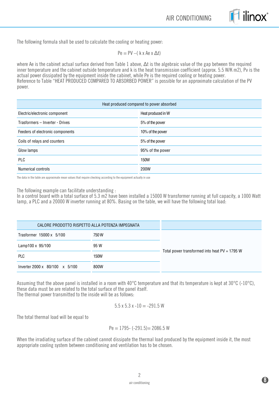

The following formula shall be used to calculate the cooling or heating power:

$$
\mathsf{Pe} = \mathsf{PV} - (\mathsf{k} \times \mathsf{A}\mathsf{e} \times \Delta \mathsf{t})
$$

where Ae is the cabinet actual surface derived from Table 1 above,  $\Delta t$  is the algebraic value of the gap between the required inner temperature and the cabinet outside temperature and k is the heat transmission coefficient (approx. 5.5 W/K m2), Pv is the actual power dissipated by the equipment inside the cabinet, while Pe is the required cooling or heating power. Reference to Table "HEAT PRODUCED COMPARED TO ABSORBED POWER" is possible for an approximate calculation of the PV power.

| Heat produced compared to power absorbed |                    |  |  |  |  |  |  |
|------------------------------------------|--------------------|--|--|--|--|--|--|
| Electric/electronic component            | Heat produced in W |  |  |  |  |  |  |
| Trasformers - Inverter - Drives          | 5% of the power    |  |  |  |  |  |  |
| Feeders of electronic components         | 10% of the power   |  |  |  |  |  |  |
| Coils of relays and counters             | 5% of the power    |  |  |  |  |  |  |
| Glow lamps                               | 95% of the power   |  |  |  |  |  |  |
| <b>PLC</b>                               | <b>150W</b>        |  |  |  |  |  |  |
| Numerical controls                       | 200W               |  |  |  |  |  |  |

The data in the table are approximate mean values that require checking according to the equipment actually in use

The following example can facilitate understanding :

In a control board with a total surface of 5.3 m2 have been installed a 15000 W transformer running at full capacity, a 1000 Watt lamp, a PLC and a 20000 W inverter running at 80%. Basing on the table, we will have the following total load:

| CALORE PRODOTTO RISPETTO ALLA POTENZA IMPEGNATA |             |                                                 |  |  |  |
|-------------------------------------------------|-------------|-------------------------------------------------|--|--|--|
| Trasformer $15000 \times 5/100$                 | 750 W       |                                                 |  |  |  |
| Lamp100 x 95/100                                | 95 W        |                                                 |  |  |  |
| <b>PLC</b>                                      | <b>150W</b> | Total power transformed into heat $PV = 1795 W$ |  |  |  |
| Inverter $2000 \times 80/100 \times 5/100$      | 800W        |                                                 |  |  |  |

Assuming that the above panel is installed in a room with 40°C temperature and that its temperature is kept at 30°C (-10°C), these data must be are related to the total surface of the panel itself. The thermal power transmitted to the inside will be as follows:

$$
5.5 \times 5.3 \times -10 = -291.5 W
$$

The total thermal load will be equal to

$$
Pe = 1795 - (-291.5) = 2086.5 W
$$

When the irradiating surface of the cabinet cannot dissipate the thermal load produced by the equipment inside it, the most appropriate cooling system between conditioning and ventilation has to be chosen.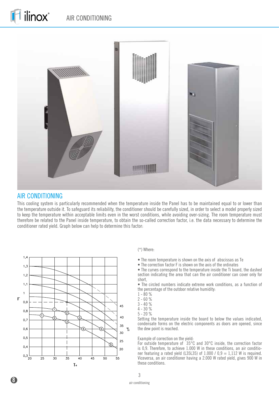

#### AIR CONDITIONING

ilinox®

This cooling system is particularly recommended when the temperature inside the Panel has to be maintained equal to or lower than the temperature outside it. To safeguard its reliability, the conditioner should be carefully sized, in order to select a model properly sized to keep the temperature within acceptable limits even in the worst conditions, while avoiding over-sizing. The room temperature must therefore be related to the Panel inside temperature, to obtain the so-called correction factor, i.e. the data necessary to determine the conditioner rated yield. Graph below can help to determine this factor:



#### (\*) Where:

• The room temperature is shown on the axis of abscissas as Te

• The correction factor F is shown on the axis of the ordinates

• The curves correspond to the temperature inside the Ti board, the dashed section indicating the area that can the air conditioner can cover only for short,

• The circled numbers indicate extreme work conditions, as a function of the percentage of the outdoor relative humidity:

- $1 80 \%$
- 2 60 %
- 3 40 %
- 4 30 %
- 5 20 %

Setting the temperature inside the board to below the values indicated, condensate forms on the electric components as doors are opened, since the dew point is reached.

#### Example of correction on the yield:

For outside temperature of 35°C and 30°C inside, the correction factor is 0,9. Therefore, to achieve 1.000 W in these conditions, an air conditioner featuring a rated yield (L35L35) of  $1.000 / 0.9 = 1.112$  W is required. Viceversa, an air conditioner having a 2.000 W rated yield, gives 900 W in these conditions.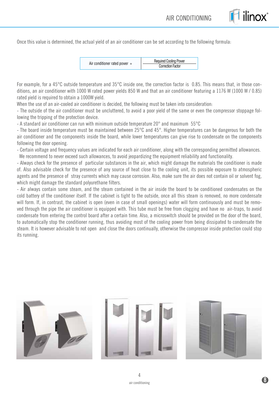*ilinox* 

Once this value is determined, the actual yield of an air conditioner can be set according to the following formula:

| Air conditioner rated power $=$ | <b>Required Cooling Power</b><br><b>Correction Factor</b> |
|---------------------------------|-----------------------------------------------------------|
|---------------------------------|-----------------------------------------------------------|

For example, for a 45°C outside temperature and 35°C inside one, the correction factor is 0.85. This means that, in those conditions, an air conditioner with 1000 W rated power yields 850 W and that an air conditioner featuring a 1176 W (1000 W / 0.85) rated yield is required to obtain a 1000W yield.

When the use of an air-cooled air conditioner is decided, the following must be taken into consideration:

- The outside of the air conditioner must be uncluttered, to avoid a poor yield of the same or even the compressor stoppage following the tripping of the protection device.

- A standard air conditioner can run with minimum outside temperature 20° and maximum 55°C

- The board inside temperature must be maintained between 25°C and 45°. Higher temperatures can be dangerous for both the air conditioner and the components inside the board, while lower temperatures can give rise to condensate on the components following the door opening.

- Certain voltage and frequency values are indicated for each air conditioner, along with the corresponding permitted allowances. We recommend to never exceed such allowances, to avoid jeopardizing the equipment reliability and functionality.

- Always check for the presence of particular substances in the air, which might damage the materials the conditioner is made of. Also advisable check for the presence of any source of heat close to the cooling unit, its possible exposure to atmospheric agents and the presence of stray currents which may cause corrosion. Also, make sure the air does not contain oil or solvent fog, which might damage the standard polyurethane filters.

- Air always contain some steam, and the steam contained in the air inside the board to be conditioned condensates on the cold battery of the conditioner itself. If the cabinet is tight to the outside, once all this steam is removed, no more condensate will form. If, in contrast, the cabinet is open (even in case of small openings) water will form continuously and must be removed through the pipe the air conditioner is equipped with. This tube must be free from clogging and have no air-traps, to avoid condensate from entering the control board after a certain time. Also, a microswitch should be provided on the door of the board, to automatically stop the conditioner running, thus avoiding most of the cooling power from being dissipated to condensate the steam. It is however advisable to not open and close the doors continually, otherwise the compressor inside protection could stop its running.

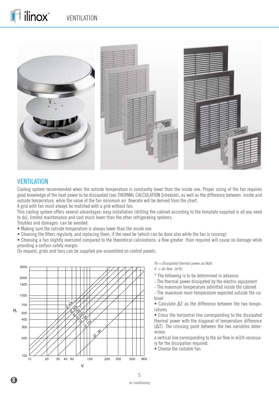

#### **VENTILATION**

ilinox®

Cooling system recommended when the outside temperature is constantly lower than the inside one. Proper sizing of the fan requires good knowledge of the heat power to be dissipated (see THERMAL CALCULATION Schedule), as well as the difference between inside and outside temperature, while the value of the fan minimum air flowrate will be derived from the chart. A grid with fan must always be matched with a grid without fan.

This cooling system offers several advantages: easy installation (drilling the cabinet according to the template supplied is all you need to do), limited maintenance and cost much lower than the other refrigerating systems.

Troubles and damages can be avoided:

- Making sure the outside temperature is always lower than the inside one
- Cleaning the filters regularly, and replacing them, if the need be (which can be done also while the fan is running)
- Choosing a fan slightly oversized compared to the theoretical calculations: a flow greater than required will cause no damage while providing a certain safety margin.

On request, grids and fans can be supplied pre-assembled on control panels.



*Pe = Dissipated thermal power as Watt*

 $V = Air flow (m<sup>3</sup>h)$ 

- \* The following is to be determined in advance:
- The thermal power dissipated by the electric equipment
- The maximum temperature admitted inside the cabinet
- The maximum room temperature expected outside the cabinet
- Calculate  $\Delta T$  as the difference between the two temperatures
- Cross the horizontal line corresponding to the dissipated thermal power with the diagonal of temperature difference (ΔT). The crossing point between the two variables determines

a vertical line corresponding to the air flow in m3/h necessary for the dissipation required.

• Choose the suitable fan.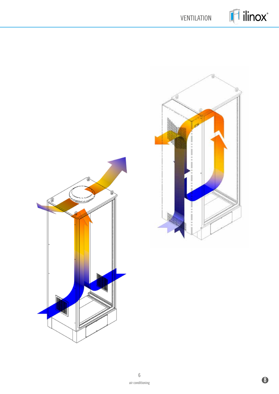VENTILATION

ilinox®

 $\overline{1}$ 



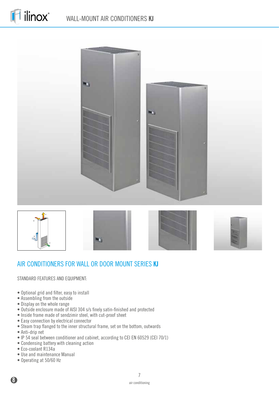





# AIR CONDITIONERS FOR WALL OR DOOR MOUNT SERIES **KJ**

#### STANDARD FEATURES AND EQUIPMENT:

- Optional grid and filter, easy to install
- Assembling from the outside
- Display on the whole range
- Outside enclosure made of AISI 304 s/s finely satin-finished and protected
- Inside frame made of sendzimir steel, with cut-proof sheet
- Easy connection by electrical connector
- Steam trap flanged to the inner structural frame, set on the bottom, outwards
- Anti-drip net
- IP 54 seal between conditioner and cabinet, according to CEI EN 60529 (CEI 70/1)
- Condensing battery with cleaning action
- Eco-coolant R134a
- Use and maintenance Manual
- Operating at 50/60 Hz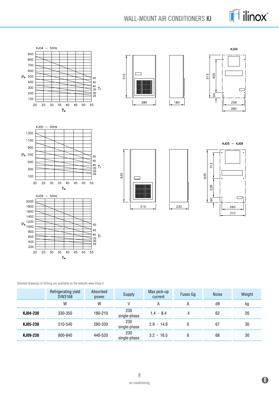

# WALL-MOUNT AIR CONDITIONERS **KJ**



Detailed drawings of drilling are available on the website www.ilinox.it

|          | Refrigerating yield<br><b>DIN3168</b> | Absorbed<br>power | Supply              | Max pick-up<br>current | <b>Fuses Gq</b> | <b>Noise</b> | Weight |
|----------|---------------------------------------|-------------------|---------------------|------------------------|-----------------|--------------|--------|
|          | W                                     | W                 | V                   | А                      | Α               | dB           | kg     |
| KJ04-230 | 330-350                               | 180-210           | 230<br>single-phase | $1.4 - 8.4$            | 4               | 62           | 20     |
| KJ05-230 | 510-540                               | 280-330           | 230<br>single-phase | $2.9 - 14.8$           | 6               | 67           | 30     |
| KJ09-230 | 800-840                               | 440-520           | 230<br>single-phase | $3.2 - 16.5$           | 6               | 68           | 30     |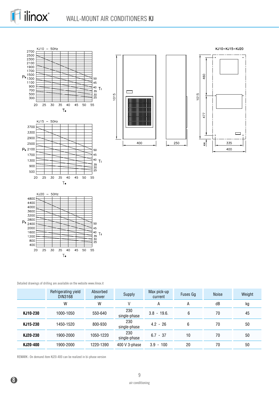



Detailed drawings of drilling are available on the website www.ilinox.it

|          | Refrigerating yield<br><b>DIN3168</b> | Absorbed<br>power | Max pick-up<br>Supply<br>current |              | Fuses Gg | <b>Noise</b> | Weight |
|----------|---------------------------------------|-------------------|----------------------------------|--------------|----------|--------------|--------|
|          | W                                     | W                 | V                                | Α            | Α        | dB           | kg     |
| KJ10-230 | 1000-1050                             | 550-640           | 230<br>single-phase              | $3.8 - 19.6$ | 6        | 70           | 45     |
| KJ15-230 | 1450-1520                             | 800-930           | 230<br>single-phase              | $4.2 - 26$   | 6        | 70           | 50     |
| KJ20-230 | 1900-2000                             | 1050-1220         | 230<br>single-phase              | $6.7 - 37$   | 10       | 70           | 50     |
| KJ20-400 | 1900-2000                             | 1220-1390         | 400 V 3-phase                    | $3.9 - 100$  | 20       | 70           | 50     |

REMARK : On demand item KJ20-400 can be realized in bi-phase version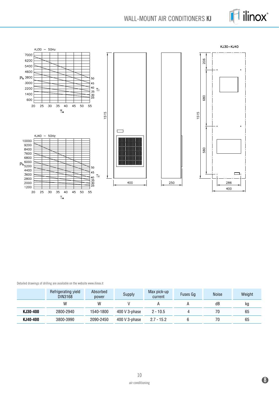

# WALL-MOUNT AIR CONDITIONERS **KJ**



Detailed drawings of drilling are available on the website www.ilinox.it

|          | Refrigerating yield<br>DIN3168 | Absorbed<br>power | Supply        | Max pick-up<br>current | <b>Fuses Ga</b> | <b>Noise</b> | Weight |
|----------|--------------------------------|-------------------|---------------|------------------------|-----------------|--------------|--------|
|          | W                              | W                 |               |                        |                 | dB           | kg     |
| KJ30-400 | 2800-2940                      | 1540-1800         | 400 V 3-phase | $2 - 10.5$             |                 | 70           | 65     |
| KJ40-400 | 3800-3990                      | 2090-2450         | 400 V 3-phase | $2.7 - 15.2$           |                 | 70           | 65     |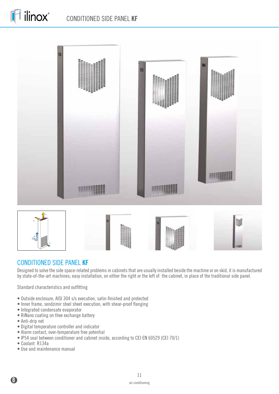









#### CONDITIONED SIDE PANEL **KF**

Designed to solve the side space-related problems in cabinets that are usually installed beside the machine or on skid, it is manufactured by state-of-the-art machines; easy installation, on either the right or the left of the cabinet, in place of the traditional side panel.

Standard characteristics and outfitting

- Outside enclosure, AISI 304 s/s execution, satin-finished and protected
- Inner frame, sendzimir steel sheet execution, with shear-proof flanging
- Integrated condensate evaporator
- RiNano coating on thee exchange battery
- Anti-drip net
- Digital temperature controller and indicator
- Alarm contact, over-temperature free potential
- IP54 seal between conditioner and cabinet inside, according to CEI EN 60529 (CEI 70/1)
- Coolant R134a
- Use and maintenance manual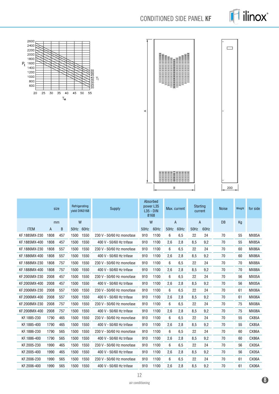









 $\qquad \qquad \Box$ 

|               |      | size |      | Refrigerating<br>vield DIN3168 | Supply                    |             | Absorbed<br>power L35<br>$L35 - DIN$<br>8168 |                | Max. current | <b>Starting</b><br>current |      | <b>Noise</b> | Weight | for side     |
|---------------|------|------|------|--------------------------------|---------------------------|-------------|----------------------------------------------|----------------|--------------|----------------------------|------|--------------|--------|--------------|
|               |      | mm   | W    |                                |                           |             | W                                            | $\overline{A}$ |              | $\overline{A}$             |      | <b>DB</b>    | Kg     |              |
| <b>ITEM</b>   | A    | B    |      | 50Hz 60Hz                      |                           | <b>50Hz</b> | 60Hz                                         | 50Hz           | 60Hz         | 50Hz                       | 60Hz |              |        |              |
| KF.1885MX-230 | 1808 | 457  | 1500 | 1550                           | 230 V - 50/60 Hz monofase | 910         | 1100                                         | 6              | 6,5          | 22                         | 24   | 70           | 55     | <b>MX85A</b> |
| KF.1885MX-400 | 1808 | 457  | 1500 | 1550                           | 400 V - 50/60 Hz trifase  | 910         | 1100                                         | 2,6            | 2,8          | 8,5                        | 9,2  | 70           | 55     | <b>MX85A</b> |
| KF.1886MX-230 | 1808 | 557  | 1500 | 1550                           | 230 V - 50/60 Hz monofase | 910         | 1100                                         | 6              | 6,5          | 22                         | 24   | 70           | 60     | MX86A        |
| KF.1886MX-400 | 1808 | 557  | 1500 | 1550                           | 400 V - 50/60 Hz trifase  | 910         | 1100                                         | 2,6            | 2,8          | 8,5                        | 9,2  | 70           | 60     | <b>MX86A</b> |
| KF.1888MX-230 | 1808 | 757  | 1500 | 1550                           | 230 V - 50/60 Hz monofase | 910         | 1100                                         | 6              | 6,5          | 22                         | 24   | 70           | 70     | MX88A        |
| KF.1888MX-400 | 1808 | 757  | 1500 | 1550                           | 400 V - 50/60 Hz trifase  | 910         | 1100                                         | 2,6            | 2,8          | 8,5                        | 9,2  | 70           | 70     | MX88A        |
| KF.2005MX-230 | 2008 | 457  | 1500 | 1550                           | 230 V - 50/60 Hz monofase | 910         | 1100                                         | 6              | 6,5          | 22                         | 24   | 70           | 56     | <b>MX05A</b> |
| KF.2005MX-400 | 2008 | 457  | 1500 | 1550                           | 400 V - 50/60 Hz trifase  | 910         | 1100                                         | 2,6            | 2,8          | 8,5                        | 9,2  | 70           | 56     | <b>MX05A</b> |
| KF.2006MX-230 | 2008 | 557  | 1500 | 1550                           | 230 V - 50/60 Hz monofase | 910         | 1100                                         | 6              | 6,5          | 22                         | 24   | 70           | 61     | MX06A        |
| KF.2006MX-400 | 2008 | 557  | 1500 | 1550                           | 400 V - 50/60 Hz trifase  | 910         | 1100                                         | 2.6            | 2,8          | 8,5                        | 9,2  | 70           | 61     | MX06A        |
| KF.2008MX-230 | 2008 | 757  | 1500 | 1550                           | 230 V - 50/60 Hz monofase | 910         | 1100                                         | 6              | 6,5          | 22                         | 24   | 70           | 75     | MX08A        |
| KF.2008MX-400 | 2008 | 757  | 1500 | 1550                           | 400 V - 50/60 Hz trifase  | 910         | 1100                                         | 2,6            | 2,8          | 8,5                        | 9,2  | 70           | 75     | MX08A        |
| KF.1885-230   | 1790 | 465  | 1500 | 1550                           | 230 V - 50/60 Hz monofase | 910         | 1100                                         | 6              | 6,5          | 22                         | 24   | 70           | 55     | CX85A        |
| KF.1885-400   | 1790 | 465  | 1500 | 1550                           | 400 V - 50/60 Hz trifase  | 910         | 1100                                         | 2,6            | 2,8          | 8,5                        | 9,2  | 70           | 55     | CX85A        |
| KF.1886-230   | 1790 | 565  | 1500 | 1550                           | 230 V - 50/60 Hz monofase | 910         | 1100                                         | 6              | 6,5          | 22                         | 24   | 70           | 60     | CX86A        |
| KF.1886-400   | 1790 | 565  | 1500 | 1550                           | 400 V - 50/60 Hz trifase  | 910         | 1100                                         | 2,6            | 2,8          | 8,5                        | 9,2  | 70           | 60     | CX86A        |
| KF.2005-230   | 1990 | 465  | 1500 | 1550                           | 230 V - 50/60 Hz monofase | 910         | 1100                                         | 6              | 6,5          | 22                         | 24   | 70           | 56     | CX05A        |
| KF.2005-400   | 1990 | 465  | 1500 | 1550                           | 400 V - 50/60 Hz trifase  | 910         | 1100                                         | 2,6            | 2,8          | 8,5                        | 9,2  | 70           | 56     | CX05A        |
| KF.2006-230   | 1990 | 565  | 1500 | 1550                           | 230 V - 50/60 Hz monofase | 910         | 1100                                         | 6              | 6,5          | 22                         | 24   | 70           | 61     | CX06A        |
| KF.2006-400   | 1990 | 565  | 1500 | 1550                           | 400 V - 50/60 Hz trifase  | 910         | 1100                                         | 2.6            | 2.8          | 8.5                        | 9.2  | 70           | 61     | CX06A        |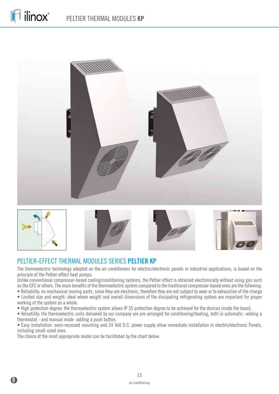



#### PELTIER-EFFECT THERMAL MODULES SERIES **PELTIER KP**

The thermoelectric technology adopted on the air conditioners for electric/electronic panels in industrial applications, is based on the principle of the Peltier-effect heat pumps.

Unlike conventional compressor-based cooling/conditioning systems, the Peltier effect is obtained electronically without using gas such as the CFC or others. The main benefits of the thermoelectric system compared to the traditional compressor-based ones are the following:

• Reliability: no mechanical moving parts, since they are electronic, therefore they are not subject to wear or to exhaustion of the charge

• Limited size and weight: ideal where weight and overall dimensions of the dissipating refrigerating system are important for proper

working of the system as a whole.

• High protection degree: the thermoelectric system allows IP 55 protection degree to be achieved for the devices inside the board.

• Versatility: the thermoelectric units delivered by our company are pre-arranged for conditioning/heating, both in automatic -adding a thermostat - and manual mode -adding a push button.

• Easy installation: semi-recessed mounting and 24 Volt D.C. power supply allow immediate installation in electric/electronic Panels, including small-sized ones.

The choice of the most appropriate model can be facilitated by the chart below: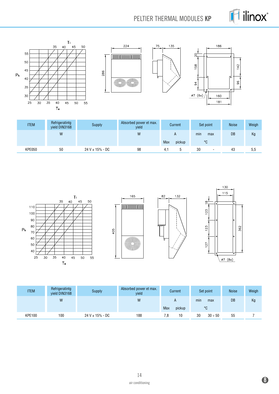

PELTIER THERMAL MODULES **KP**









| <b>ITEM</b>   | Refrigeratintg<br>yield DIN3168 | Supply               | Absorbed power et max.<br>vield | Current              | Set point                      | <b>Noise</b> | Weigh |
|---------------|---------------------------------|----------------------|---------------------------------|----------------------|--------------------------------|--------------|-------|
|               | W                               |                      | W                               | A                    | min<br>max                     | DB           | Kg    |
|               |                                 |                      |                                 | <b>Max</b><br>pickup | °C                             |              |       |
| <b>KPE050</b> | 50                              | $24 V \pm 15\%$ - DC | 98                              | 4.1                  | 30<br>$\overline{\phantom{0}}$ | 43           | 5,5   |



| <b>ITEM</b>   | Refrigeratintg<br>yield DIN3168 | Supply               | Absorbed power et max.<br>vield | Current    |        | Set point |              | <b>Noise</b> | Weigh |
|---------------|---------------------------------|----------------------|---------------------------------|------------|--------|-----------|--------------|--------------|-------|
|               | W                               |                      | W                               | A          |        | min       | max          | DB           | Kg    |
|               |                                 |                      |                                 | <b>Max</b> | pickup | °C        |              |              |       |
| <b>KPE100</b> | 100                             | $24 V \pm 15\%$ - DC | 188                             | 7.8        | 10     | 30        | $30 \div 50$ | 55           |       |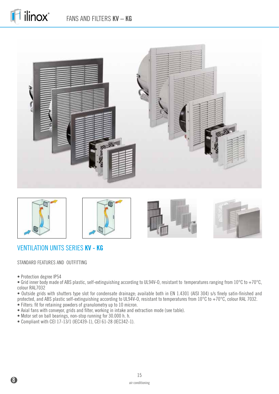





#### VENTILATION UNITS SERIES **KV - KG**

#### STANDARD FEATURES AND OUTFITTING

• Protection degree IP54

• Grid inner body made of ABS plastic, self-extinguishing according to UL94V-O, resistant to temperatures ranging from 10°C to +70°C, colour RAL7032

• Outside grids with shutters type slot for condensate drainage; available both in EN 1.4301 (AISI 304) s/s finely satin-finished and protected, and ABS plastic self-extinguishing according to UL94V-O, resistant to temperatures from 10°C to +70°C, colour RAL 7032.

- Filters: fit for retaining powders of granulometry up to 10 micron.
- Axial fans with conveyor, grids and filter, working in intake and extraction mode (see table).
- Motor set on ball bearings, non-stop running for 30.000 h. h.
- Compliant with CEI 17-13/1 (IEC439-1), CEI 61-28 (IEC342-1).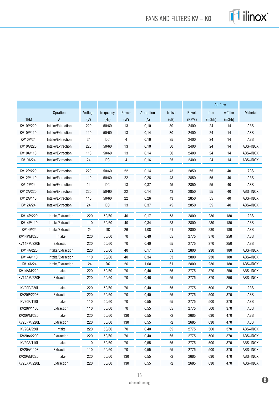

|             |                   |         |           |       |           |              |        | Air flow |          |                 |
|-------------|-------------------|---------|-----------|-------|-----------|--------------|--------|----------|----------|-----------------|
|             | Opration          | Voltage | frequency | Power | Abroption | <b>Noise</b> | Revol. | free     | w/filter | <b>Material</b> |
| <b>ITEM</b> | $\overline{A}$    | (V)     | (Hz)      | (W)   | (A)       | (dB)         | (RPM)  | (m3/h)   | (m3/h)   |                 |
| KV10P/220   | Intake/Extraction | 220     | 50/60     | 13    | 0,10      | 30           | 2400   | 24       | 14       | ABS             |
| KV10P/110   | Intake/Extraction | 110     | 50/60     | 13    | 0,14      | 30           | 2400   | 24       | 14       | ABS             |
| KV10P/24    | Intake/Extraction | 24      | DC        | 4     | 0,16      | 35           | 2400   | 24       | 14       | ABS             |
| KV10A/220   | Intake/Extraction | 220     | 50/60     | 13    | 0,10      | 30           | 2400   | 24       | 14       | ABS+INOX        |
| KV10A/110   | Intake/Extraction | 110     | 50/60     | 13    | 0,14      | 30           | 2400   | 24       | 14       | ABS+INOX        |
| KV10A/24    | Intake/Extraction | 24      | DC        | 4     | 0,16      | 35           | 2400   | 24       | 14       | ABS+INOX        |
| KV12P/220   | Intake/Extraction | 220     | 50/60     | 22    | 0,14      | 43           | 2850   | 55       | 40       | ABS             |
| KV12P/110   | Intake/Extraction | 110     | 50/60     | 22    | 0,26      | 43           | 2850   | 55       | 40       | ABS             |
| KV12P/24    | Intake/Extraction | 24      | DC        | 13    | 0,37      | 45           | 2850   | 55       | 40       | ABS             |
| KV12A/220   | Intake/Extraction | 220     | 50/60     | 22    | 0,14      | 43           | 2850   | 55       | 40       | ABS+INOX        |
| KV12A/110   | Intake/Extraction | 110     | 50/60     | 22    | 0,26      | 43           | 2850   | 55       | 40       | ABS+INOX        |
| KV12A/24    | Intake/Extraction | 24      | DC        | 13    | 0,37      | 45           | 2850   | 55       | 40       | ABS+INOX        |
| KV14P/220   | Intake/Extraction | 220     | 50/60     | 40    | 0,17      | 53           | 2800   | 230      | 180      | ABS             |
| KV14P/110   | Intake/Extraction | 110     | 50/60     | 40    | 0,34      | 53           | 2800   | 230      | 180      | ABS             |
| KV14P/24    | Intake/Extraction | 24      | DC        | 26    | 1,08      | 61           | 2800   | 230      | 180      | ABS             |
| KV14PM/220I | Intake            | 220     | 50/60     | 70    | 0,40      | 65           | 2775   | 370      | 250      | ABS             |
| KV14PM/220E | Extraction        | 220     | 50/60     | 70    | 0,40      | 65           | 2775   | 370      | 250      | ABS             |
| KV14A/220   | Intake/Extraction | 220     | 50/60     | 40    | 0,17      | 53           | 2800   | 230      | 180      | ABS+INOX        |
| KV14A/110   | Intake/Extraction | 110     | 50/60     | 40    | 0,34      | 53           | 2800   | 230      | 180      | ABS+INOX        |
| KV14A/24    | Intake/Extraction | 24      | DC        | 26    | 1,08      | 61           | 2800   | 230      | 180      | ABS+INOX        |
| KV14AM/220I | Intake            | 220     | 50/60     | 70    | 0,40      | 65           | 2775   | 370      | 250      | ABS+INOX        |
| KV14AM/220E | Extraction        | 220     | 50/60     | 70    | 0,40      | 65           | 2775   | 370      | 250      | ABS+INOX        |
| KV20P/220I  | Intake            | 220     | 50/60     | 70    | 0,40      | 65           | 2775   | 500      | 370      | <b>ABS</b>      |
| KV20P/220E  | Extraction        | 220     | 50/60     | 70    | 0,40      | 65           | 2775   | 500      | 370      | ABS             |
| KV20P/110I  | Intake            | 110     | 50/60     | 70    | 0,55      | 65           | 2775   | 500      | 370      | ABS             |
| KV20P/110E  | Extraction        | 110     | 50/60     | 70    | 0,55      | 65           | 2775   | 500      | 370      | ABS             |
| KV20PM/220I | Intake            | 220     | 50/60     | 130   | 0,55      | $72\,$       | 2685   | 630      | 470      | ABS             |
| KV20PM/220E | Extraction        | 220     | 50/60     | 130   | 0,55      | 72           | 2685   | 630      | 470      | ABS             |
| KV20A/220I  | Intake            | 220     | 50/60     | 70    | 0,40      | 65           | 2775   | 500      | 370      | ABS+INOX        |
| KV20A/220E  | Extraction        | 220     | 50/60     | 70    | 0,40      | 65           | 2775   | 500      | 370      | ABS+INOX        |
| KV20A/110I  | Intake            | 110     | 50/60     | 70    | 0,55      | 65           | 2775   | 500      | 370      | ABS+INOX        |
| KV20A/110E  | Extraction        | 110     | 50/60     | 70    | 0,55      | 65           | 2775   | 500      | 370      | ABS+INOX        |
| KV20AM/220I | Intake            | 220     | 50/60     | 130   | 0,55      | 72           | 2685   | 630      | 470      | ABS+INOX        |
| KV20AM/220E | Extraction        | 220     | 50/60     | 130   | 0,55      | 72           | 2685   | 630      | 470      | ABS+INOX        |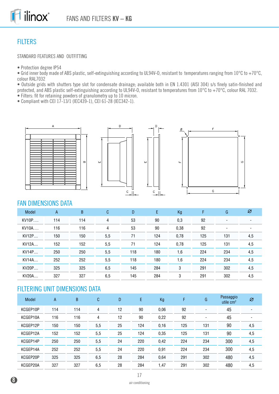# FILTERS

#### STANDARD FEATURES AND OUTFITTING

• Protection degree IP54

• Grid inner body made of ABS plastic, self-extinguishing according to UL94V-O, resistant to temperatures ranging from 10°C to +70°C, colour RAL7032

• Outside grids with shutters type slot for condensate drainage; available both in EN 1.4301 (AISI 304) s/s finely satin-finished and protected, and ABS plastic self-extinguishing according to UL94V-O, resistant to temperatures from 10°C to +70°C, colour RAL 7032.

 $\omega$ 

 $\mathsf{C}$ 

• Filters: fit for retaining powders of granulometry up to 10 micron.

• Compliant with CEI 17-13/1 (IEC439-1), CEI 61-28 (IEC342-1).





ц.



#### FAN DIMENSIONS DATA

| Model        | Α   | B   | C   | D   | E   | Kg   | F.  | G   | Ø                        |
|--------------|-----|-----|-----|-----|-----|------|-----|-----|--------------------------|
| KV10P        | 114 | 114 | 4   | 53  | 90  | 0,3  | 92  |     |                          |
| KV10A        | 116 | 116 | 4   | 53  | 90  | 0,38 | 92  |     | $\overline{\phantom{0}}$ |
| KV12P        | 150 | 150 | 5,5 | 71  | 124 | 0,78 | 125 | 131 | 4,5                      |
| <b>KV12A</b> | 152 | 152 | 5,5 | 71  | 124 | 0,78 | 125 | 131 | 4,5                      |
| KV14P        | 250 | 250 | 5,5 | 118 | 180 | 1,6  | 224 | 234 | 4,5                      |
| KV14A        | 252 | 252 | 5,5 | 118 | 180 | 1,6  | 224 | 234 | 4,5                      |
| KV20P        | 325 | 325 | 6,5 | 145 | 284 | 3    | 291 | 302 | 4,5                      |
| KV20A        | 327 | 327 | 6,5 | 145 | 284 | 3    | 291 | 302 | 4,5                      |

#### FILTERING UNIT DIMENSIONS DATA

| <b>Model</b> | A   | B   | C   | D  | E   | Kg   | F   | G                        | Passaggio<br>utile $cm2$ | Ø   |
|--------------|-----|-----|-----|----|-----|------|-----|--------------------------|--------------------------|-----|
| KCGEP10P     | 114 | 114 | 4   | 12 | 90  | 0,06 | 92  | ٠                        | 45                       | ۰   |
| KCGEP10A     | 116 | 116 | 4   | 12 | 90  | 0,22 | 92  | $\overline{\phantom{0}}$ | 45                       | ۰   |
| KCGEP12P     | 150 | 150 | 5,5 | 25 | 124 | 0,16 | 125 | 131                      | 90                       | 4,5 |
| KCGEP12A     | 152 | 152 | 5,5 | 25 | 124 | 0,35 | 125 | 131                      | 90                       | 4,5 |
| KCGEP14P     | 250 | 250 | 5,5 | 24 | 220 | 0,42 | 224 | 234                      | 300                      | 4,5 |
| KCGEP14A     | 252 | 252 | 5,5 | 24 | 220 | 0,91 | 224 | 234                      | 300                      | 4,5 |
| KCGEP20P     | 325 | 325 | 6,5 | 28 | 284 | 0,64 | 291 | 302                      | 480                      | 4,5 |
| KCGEP20A     | 327 | 327 | 6,5 | 28 | 284 | 1,47 | 291 | 302                      | 480                      | 4,5 |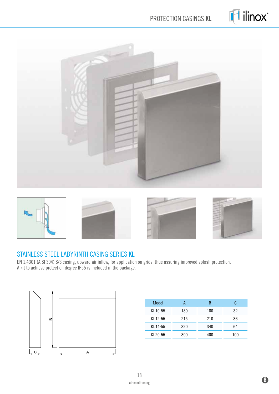

PROTECTION CASINGS **KL**





#### STAINLESS STEEL LABYRINTH CASING SERIES **KL**

EN 1.4301 (AISI 304) S/S casing, upward air inflow, for application on grids, thus assuring improved splash protection. A kit to achieve protection degree IP55 is included in the package.



| Model   | А   | в   | C   |
|---------|-----|-----|-----|
| KL10-55 | 180 | 180 | 32  |
| KL12-55 | 215 | 210 | 36  |
| KL14-55 | 320 | 340 | 64  |
| KL20-55 | 390 | 400 | 100 |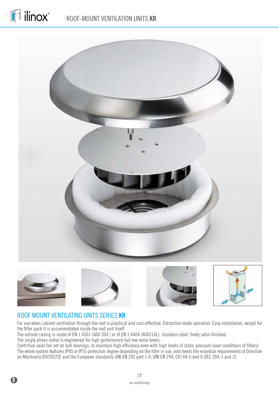# ilinox®











#### ROOF MOUNT VENTILATING UNITS SERIES **KR**

For use when cabinet ventilation through the roof is practical and cost-effective. Extraction mode operation. Easy installation, except for the filter pack it is accommodated inside the roof unit itself.

The outside casing is made of EN 1.4301 (AISI 304 ) or of EN.1.4404 (AISI316L) stainless steel, finely satin-finished.

The single phase motor is engineered for high performance but low noise levels.

Centrifual axial fan set on ball bearings, to maintain high efficiency even with high levels of static pressure (poor conditions of filters) The whole system features IP45 or IP55 protection degree depending on the filter in use, and meets the essential requirements of Directive on Machinery 89/392/CE and the European standards UNI EN 292 part I, II; UNI EN 294; CEI 44-5 and 6 (IEC 204-1 and 2).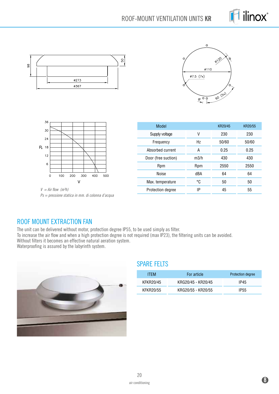

# ROOF-MOUNT VENTILATION UNITS **KR**







 $V = Air flow (m<sup>3</sup>h)$ *Ps = pressione statica in mm. di colonna d'acqua*

| Model               |      | KR20/45 | KR20/55 |
|---------------------|------|---------|---------|
| Supply voltage      | V    | 230     | 230     |
| Frequency           | Hz   | 50/60   | 50/60   |
| Absorbed current    | А    | 0.25    | 0.25    |
| Door (free suction) | m3/h | 430     | 430     |
| Rpm                 | Rpm  | 2550    | 2550    |
| Noise               | dBA  | 64      | 64      |
| Max. temperature    | °C   | 50      | 50      |
| Protection degree   | IP   | 45      | 55      |

#### ROOF MOUNT EXTRACTION FAN

The unit can be delivered without motor, protection degree IP55, to be used simply as filter. To increase the air flow and when a high protection degree is not required (max IP23), the filtering units can be avoided. Without filters it becomes an effective natural aeration system. Waterproofing is assured by the labyrinth system.



#### SPARE FELTS

| ITFM.     | For article        | <b>Protection degree</b> |
|-----------|--------------------|--------------------------|
| KFKR20/45 | KRG20/45 - KR20/45 | IP45                     |
| KFKR20/55 | KRG20/55 - KR20/55 | IP <sub>55</sub>         |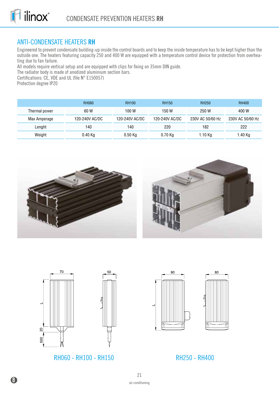### ANTI-CONDENSATE HEATERS **RH**

Engineered to prevent condensate building-up inside the control boards and to keep the inside temperature has to be kept higher than the outside one. The heaters featuring capacity 250 and 400 W are equipped with a temperature control device for protection from overheating due to fan failure.

All models require vertical setup and are equipped with clips for fixing on 35mm DIN guide.

The radiator body is made of anodized aluminium section bars.

Certifications: CE, VDE and UL (file N° E150057)

Protection degree IP20

|               | <b>RH060</b>   | <b>RH100</b>   | <b>RH150</b>   | <b>RH250</b>     | <b>RH400</b>     |
|---------------|----------------|----------------|----------------|------------------|------------------|
| Thermal power | 60 W           | 100 W          | 150 W          | 250 W            | 400 W            |
| Max Amperage  | 120-240V AC/DC | 120-240V AC/DC | 120-240V AC/DC | 230V AC 50/60 Hz | 230V AC 50/60 Hz |
| Lenght        | 140            | 140            | 220            | 182              | 222              |
| Weight        | 0.40 Kg        | $0.50$ Kg      | 0.70 Kg        | 1.10 Kg          | ∣.40 Kg          |





RH060 - RH100 - RH150 RH250 - RH400